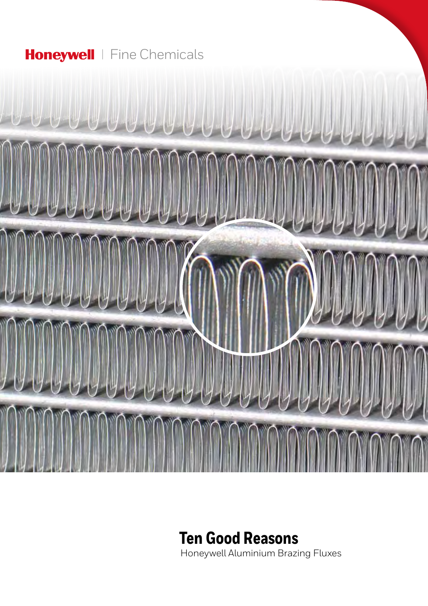## Honeywell | Fine Chemicals



# **Ten Good Reasons**

Honeywell Aluminium Brazing Fluxes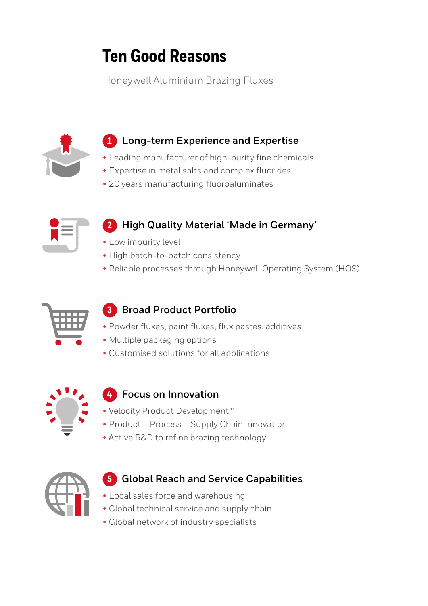# **Ten Good Reasons**

Honeywell Aluminium Brazing Fluxes



## **1 Long-term Experience and Expertise**

- Leading manufacturer of high-purity fine chemicals
- Expertise in metal salts and complex fluorides
- 20 years manufacturing fluoroaluminates



## **2 High Quality Material 'Made in Germany' AL-Flux**

- Low impurity level
- High batch-to-batch consistency
- $\bullet$  Reliable processes through Honeywell Operating System (HOS) Innovations Secured Supply



## **3 Broad Product Portfolio**

- **CLOBAL VICIO · Powder fluxes, paint fluxes, flux pastes, additives** Jastes, at x pas
	- Multiple packaging options
	- Customised solutions for all applications



#### **4 Focus on Innovation AL-Flux**

- Velocity Product Development™ **2805**
- Product Process Supply Chain Innovation
- Active R&D to refine brazing technology



#### **5** Global Reach and Service Capabilities bal Reach and Service C

- Local sales force and warehousing
- Global technical service and supply chain
- Global network of industry specialists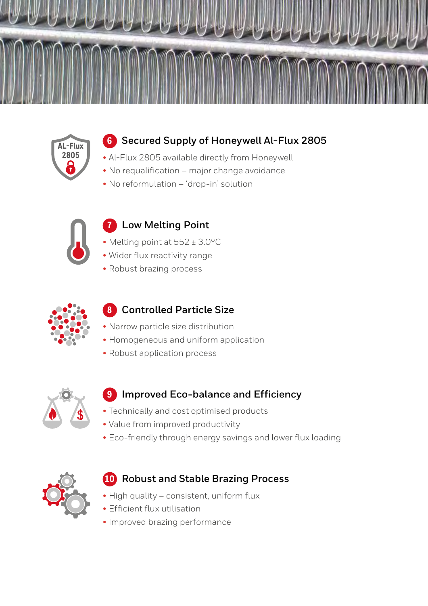



## **6 Secured Supply of Honeywell Al-Flux 2805 AL-Flux**

- Al-Flux 2805 available directly from Honeywell
- No requalification major change avoidance
- $\bullet$  No reformulation 'drop-in' solution



### **7 Low Melting Point**

- Melting point at 552 ± 3.0°C  $\overline{P}$ **2805**
- Wider flux reactivity range
- Robust brazing process



### **8 Controlled Particle Size**

- Narrow particle size distribution
- Homogeneous and uniform application **2805**
- Robust application process



## **9 Improved Eco-balance and Efficiency**

- Technically and cost optimised products
- Value from improved productivity
- Eco-friendly through energy savings and lower flux loading



## **10 Robust and Stable Brazing Process**

- High quality consistent, uniform flux
- Efficient flux utilisation
- Improved brazing performance